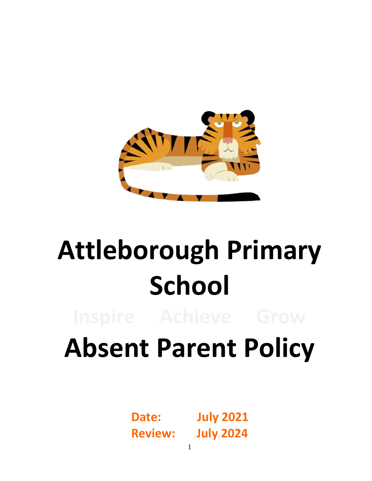

# **Attleborough Primary School**

## **Absent Parent Policy**

**Date: July 2021 Review: July 2024**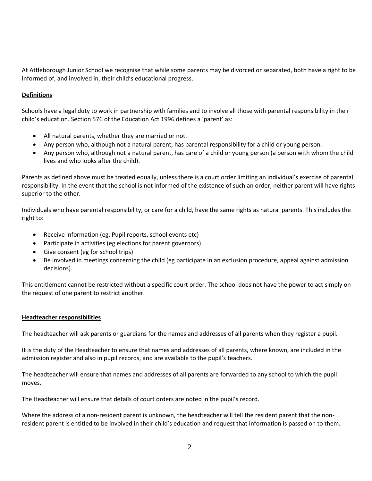At Attleborough Junior School we recognise that while some parents may be divorced or separated, both have a right to be informed of, and involved in, their child's educational progress.

#### **Definitions**

Schools have a legal duty to work in partnership with families and to involve all those with parental responsibility in their child's education. Section 576 of the Education Act 1996 defines a 'parent' as:

- All natural parents, whether they are married or not.
- Any person who, although not a natural parent, has parental responsibility for a child or young person.
- Any person who, although not a natural parent, has care of a child or young person (a person with whom the child lives and who looks after the child).

Parents as defined above must be treated equally, unless there is a court order limiting an individual's exercise of parental responsibility. In the event that the school is not informed of the existence of such an order, neither parent will have rights superior to the other.

Individuals who have parental responsibility, or care for a child, have the same rights as natural parents. This includes the right to:

- Receive information (eg. Pupil reports, school events etc)
- Participate in activities (eg elections for parent governors)
- Give consent (eg for school trips)
- Be involved in meetings concerning the child (eg participate in an exclusion procedure, appeal against admission decisions).

This entitlement cannot be restricted without a specific court order. The school does not have the power to act simply on the request of one parent to restrict another.

#### **Headteacher responsibilities**

The headteacher will ask parents or guardians for the names and addresses of all parents when they register a pupil.

It is the duty of the Headteacher to ensure that names and addresses of all parents, where known, are included in the admission register and also in pupil records, and are available to the pupil's teachers.

The headteacher will ensure that names and addresses of all parents are forwarded to any school to which the pupil moves.

The Headteacher will ensure that details of court orders are noted in the pupil's record.

Where the address of a non-resident parent is unknown, the headteacher will tell the resident parent that the nonresident parent is entitled to be involved in their child's education and request that information is passed on to them.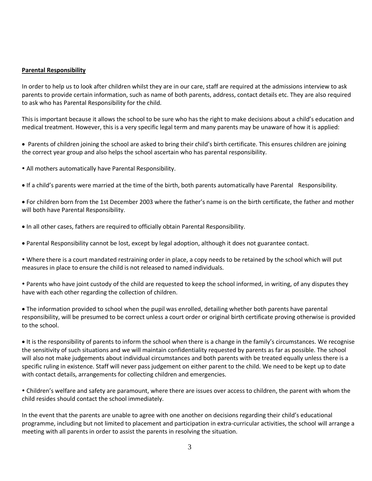#### **Parental Responsibility**

In order to help us to look after children whilst they are in our care, staff are required at the admissions interview to ask parents to provide certain information, such as name of both parents, address, contact details etc. They are also required to ask who has Parental Responsibility for the child.

This is important because it allows the school to be sure who has the right to make decisions about a child's education and medical treatment. However, this is a very specific legal term and many parents may be unaware of how it is applied:

 Parents of children joining the school are asked to bring their child's birth certificate. This ensures children are joining the correct year group and also helps the school ascertain who has parental responsibility.

- All mothers automatically have Parental Responsibility.
- If a child's parents were married at the time of the birth, both parents automatically have Parental Responsibility.

 For children born from the 1st December 2003 where the father's name is on the birth certificate, the father and mother will both have Parental Responsibility.

- In all other cases, fathers are required to officially obtain Parental Responsibility.
- Parental Responsibility cannot be lost, except by legal adoption, although it does not guarantee contact.

 Where there is a court mandated restraining order in place, a copy needs to be retained by the school which will put measures in place to ensure the child is not released to named individuals.

 Parents who have joint custody of the child are requested to keep the school informed, in writing, of any disputes they have with each other regarding the collection of children.

 The information provided to school when the pupil was enrolled, detailing whether both parents have parental responsibility, will be presumed to be correct unless a court order or original birth certificate proving otherwise is provided to the school.

It is the responsibility of parents to inform the school when there is a change in the family's circumstances. We recognise the sensitivity of such situations and we will maintain confidentiality requested by parents as far as possible. The school will also not make judgements about individual circumstances and both parents with be treated equally unless there is a specific ruling in existence. Staff will never pass judgement on either parent to the child. We need to be kept up to date with contact details, arrangements for collecting children and emergencies.

 Children's welfare and safety are paramount, where there are issues over access to children, the parent with whom the child resides should contact the school immediately.

In the event that the parents are unable to agree with one another on decisions regarding their child's educational programme, including but not limited to placement and participation in extra-curricular activities, the school will arrange a meeting with all parents in order to assist the parents in resolving the situation.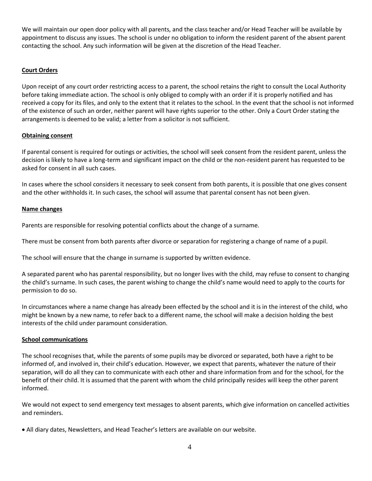We will maintain our open door policy with all parents, and the class teacher and/or Head Teacher will be available by appointment to discuss any issues. The school is under no obligation to inform the resident parent of the absent parent contacting the school. Any such information will be given at the discretion of the Head Teacher.

#### **Court Orders**

Upon receipt of any court order restricting access to a parent, the school retains the right to consult the Local Authority before taking immediate action. The school is only obliged to comply with an order if it is properly notified and has received a copy for its files, and only to the extent that it relates to the school. In the event that the school is not informed of the existence of such an order, neither parent will have rights superior to the other. Only a Court Order stating the arrangements is deemed to be valid; a letter from a solicitor is not sufficient.

#### **Obtaining consent**

If parental consent is required for outings or activities, the school will seek consent from the resident parent, unless the decision is likely to have a long-term and significant impact on the child or the non-resident parent has requested to be asked for consent in all such cases.

In cases where the school considers it necessary to seek consent from both parents, it is possible that one gives consent and the other withholds it. In such cases, the school will assume that parental consent has not been given.

#### **Name changes**

Parents are responsible for resolving potential conflicts about the change of a surname.

There must be consent from both parents after divorce or separation for registering a change of name of a pupil.

The school will ensure that the change in surname is supported by written evidence.

A separated parent who has parental responsibility, but no longer lives with the child, may refuse to consent to changing the child's surname. In such cases, the parent wishing to change the child's name would need to apply to the courts for permission to do so.

In circumstances where a name change has already been effected by the school and it is in the interest of the child, who might be known by a new name, to refer back to a different name, the school will make a decision holding the best interests of the child under paramount consideration.

#### **School communications**

The school recognises that, while the parents of some pupils may be divorced or separated, both have a right to be informed of, and involved in, their child's education. However, we expect that parents, whatever the nature of their separation, will do all they can to communicate with each other and share information from and for the school, for the benefit of their child. It is assumed that the parent with whom the child principally resides will keep the other parent informed.

We would not expect to send emergency text messages to absent parents, which give information on cancelled activities and reminders.

All diary dates, Newsletters, and Head Teacher's letters are available on our website.